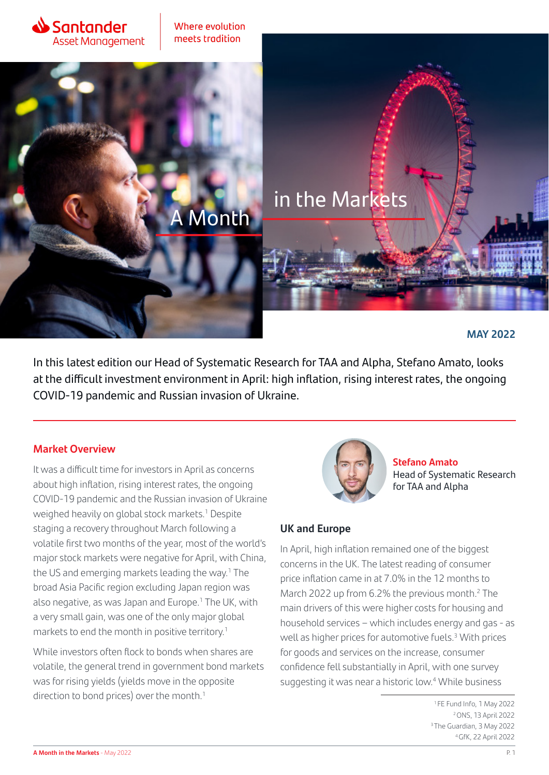

**MAY 2022**

In this latest edition our Head of Systematic Research for TAA and Alpha, Stefano Amato, looks at the difficult investment environment in April: high inflation, rising interest rates, the ongoing COVID-19 pandemic and Russian invasion of Ukraine.

#### **Market Overview**

It was a difficult time for investors in April as concerns about high inflation, rising interest rates, the ongoing COVID-19 pandemic and the Russian invasion of Ukraine weighed heavily on global stock markets.1 Despite staging a recovery throughout March following a volatile first two months of the year, most of the world's major stock markets were negative for April, with China, the US and emerging markets leading the way.<sup>1</sup> The broad Asia Pacific region excluding Japan region was also negative, as was Japan and Europe.1 The UK, with a very small gain, was one of the only major global markets to end the month in positive territory.<sup>1</sup>

While investors often flock to bonds when shares are volatile, the general trend in government bond markets was for rising yields (yields move in the opposite direction to bond prices) over the month. $1$ 



**Stefano Amato** Head of Systematic Research for TAA and Alpha

# **UK and Europe**

In April, high inflation remained one of the biggest concerns in the UK. The latest reading of consumer price inflation came in at 7.0% in the 12 months to March 2022 up from 6.2% the previous month.<sup>2</sup> The main drivers of this were higher costs for housing and household services – which includes energy and gas - as well as higher prices for automotive fuels.<sup>3</sup> With prices for goods and services on the increase, consumer confidence fell substantially in April, with one survey suggesting it was near a historic low.<sup>4</sup> While business

> 1 FE Fund Info, 1 May 2022 2 ONS, 13 April 2022 3 The Guardian, 3 May 2022 4 GfK, 22 April 2022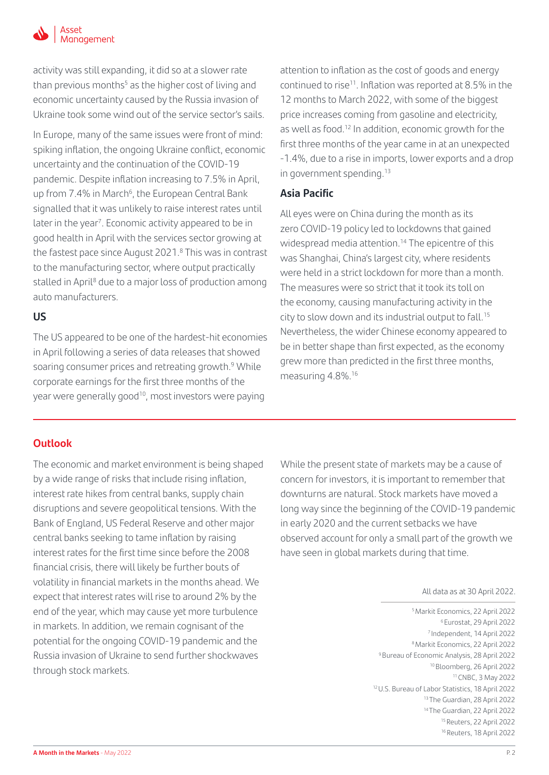

activity was still expanding, it did so at a slower rate than previous months<sup>5</sup> as the higher cost of living and economic uncertainty caused by the Russia invasion of Ukraine took some wind out of the service sector's sails.

In Europe, many of the same issues were front of mind: spiking inflation, the ongoing Ukraine conflict, economic uncertainty and the continuation of the COVID-19 pandemic. Despite inflation increasing to 7.5% in April, up from 7.4% in March<sup>6</sup>, the European Central Bank signalled that it was unlikely to raise interest rates until later in the year<sup>7</sup>. Economic activity appeared to be in good health in April with the services sector growing at the fastest pace since August 2021.8 This was in contrast to the manufacturing sector, where output practically stalled in April<sup>8</sup> due to a major loss of production among auto manufacturers.

## **US**

The US appeared to be one of the hardest-hit economies in April following a series of data releases that showed soaring consumer prices and retreating growth.<sup>9</sup> While corporate earnings for the first three months of the year were generally good<sup>10</sup>, most investors were paying

attention to inflation as the cost of goods and energy continued to rise<sup>11</sup>. Inflation was reported at 8.5% in the 12 months to March 2022, with some of the biggest price increases coming from gasoline and electricity, as well as food.12 In addition, economic growth for the first three months of the year came in at an unexpected -1.4%, due to a rise in imports, lower exports and a drop in government spending.<sup>13</sup>

## **Asia Pacific**

All eyes were on China during the month as its zero COVID-19 policy led to lockdowns that gained widespread media attention.<sup>14</sup> The epicentre of this was Shanghai, China's largest city, where residents were held in a strict lockdown for more than a month. The measures were so strict that it took its toll on the economy, causing manufacturing activity in the city to slow down and its industrial output to fall.15 Nevertheless, the wider Chinese economy appeared to be in better shape than first expected, as the economy grew more than predicted in the first three months, measuring 4.8%.<sup>16</sup>

# **Outlook**

The economic and market environment is being shaped by a wide range of risks that include rising inflation, interest rate hikes from central banks, supply chain disruptions and severe geopolitical tensions. With the Bank of England, US Federal Reserve and other major central banks seeking to tame inflation by raising interest rates for the first time since before the 2008 financial crisis, there will likely be further bouts of volatility in financial markets in the months ahead. We expect that interest rates will rise to around 2% by the end of the year, which may cause yet more turbulence in markets. In addition, we remain cognisant of the potential for the ongoing COVID-19 pandemic and the Russia invasion of Ukraine to send further shockwaves through stock markets.

While the present state of markets may be a cause of concern for investors, it is important to remember that downturns are natural. Stock markets have moved a long way since the beginning of the COVID-19 pandemic in early 2020 and the current setbacks we have observed account for only a small part of the growth we have seen in global markets during that time.

All data as at 30 April 2022.

5 Markit Economics, 22 April 2022 6 Eurostat, 29 April 2022 7 Independent, 14 April 2022 8 Markit Economics, 22 April 2022 9 Bureau of Economic Analysis, 28 April 2022 10 Bloomberg, 26 April 2022 11 CNBC, 3 May 2022 12 U.S. Bureau of Labor Statistics, 18 April 2022 13 The Guardian, 28 April 2022 14 The Guardian, 22 April 2022 15 Reuters, 22 April 2022 16 Reuters, 18 April 2022